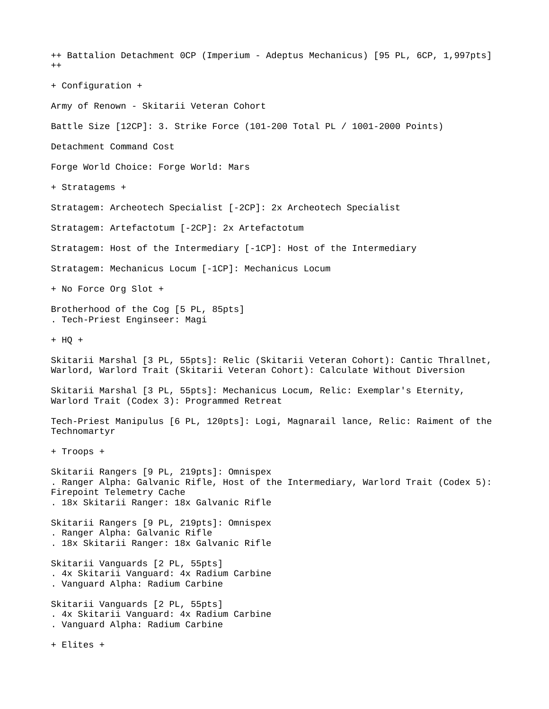++ Battalion Detachment 0CP (Imperium - Adeptus Mechanicus) [95 PL, 6CP, 1,997pts] ++ + Configuration + Army of Renown - Skitarii Veteran Cohort Battle Size [12CP]: 3. Strike Force (101-200 Total PL / 1001-2000 Points) Detachment Command Cost Forge World Choice: Forge World: Mars + Stratagems + Stratagem: Archeotech Specialist [-2CP]: 2x Archeotech Specialist Stratagem: Artefactotum [-2CP]: 2x Artefactotum Stratagem: Host of the Intermediary [-1CP]: Host of the Intermediary Stratagem: Mechanicus Locum [-1CP]: Mechanicus Locum + No Force Org Slot + Brotherhood of the Cog [5 PL, 85pts] . Tech-Priest Enginseer: Magi  $+$  HQ  $+$ Skitarii Marshal [3 PL, 55pts]: Relic (Skitarii Veteran Cohort): Cantic Thrallnet, Warlord, Warlord Trait (Skitarii Veteran Cohort): Calculate Without Diversion Skitarii Marshal [3 PL, 55pts]: Mechanicus Locum, Relic: Exemplar's Eternity, Warlord Trait (Codex 3): Programmed Retreat Tech-Priest Manipulus [6 PL, 120pts]: Logi, Magnarail lance, Relic: Raiment of the Technomartyr + Troops + Skitarii Rangers [9 PL, 219pts]: Omnispex . Ranger Alpha: Galvanic Rifle, Host of the Intermediary, Warlord Trait (Codex 5): Firepoint Telemetry Cache . 18x Skitarii Ranger: 18x Galvanic Rifle Skitarii Rangers [9 PL, 219pts]: Omnispex . Ranger Alpha: Galvanic Rifle . 18x Skitarii Ranger: 18x Galvanic Rifle Skitarii Vanguards [2 PL, 55pts] . 4x Skitarii Vanguard: 4x Radium Carbine . Vanguard Alpha: Radium Carbine Skitarii Vanguards [2 PL, 55pts] . 4x Skitarii Vanguard: 4x Radium Carbine . Vanguard Alpha: Radium Carbine + Elites +